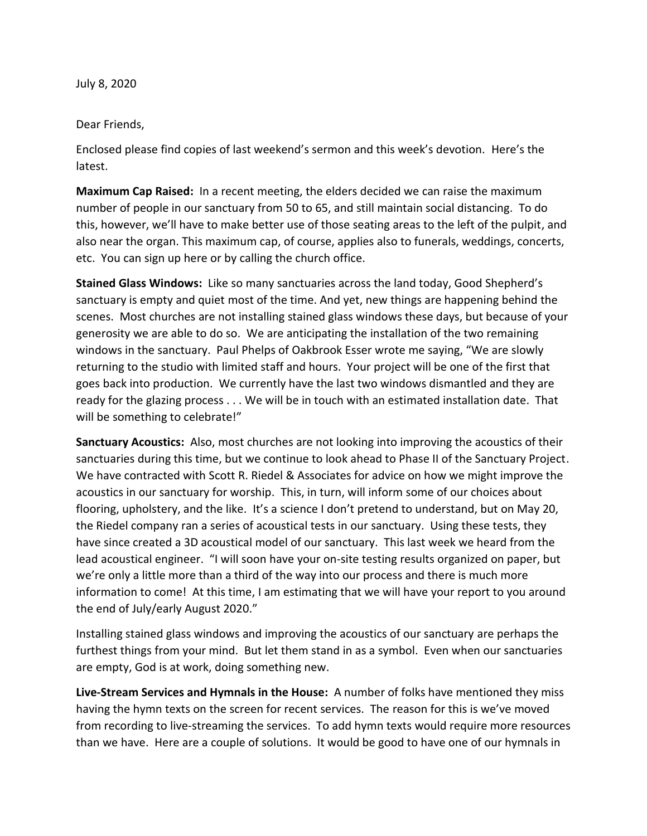July 8, 2020

## Dear Friends,

Enclosed please find copies of last weekend's sermon and this week's devotion. Here's the latest.

**Maximum Cap Raised:** In a recent meeting, the elders decided we can raise the maximum number of people in our sanctuary from 50 to 65, and still maintain social distancing. To do this, however, we'll have to make better use of those seating areas to the left of the pulpit, and also near the organ. This maximum cap, of course, applies also to funerals, weddings, concerts, etc. You can sign up here or by calling the church office.

**Stained Glass Windows:** Like so many sanctuaries across the land today, Good Shepherd's sanctuary is empty and quiet most of the time. And yet, new things are happening behind the scenes. Most churches are not installing stained glass windows these days, but because of your generosity we are able to do so. We are anticipating the installation of the two remaining windows in the sanctuary. Paul Phelps of Oakbrook Esser wrote me saying, "We are slowly returning to the studio with limited staff and hours. Your project will be one of the first that goes back into production. We currently have the last two windows dismantled and they are ready for the glazing process . . . We will be in touch with an estimated installation date. That will be something to celebrate!"

**Sanctuary Acoustics:** Also, most churches are not looking into improving the acoustics of their sanctuaries during this time, but we continue to look ahead to Phase II of the Sanctuary Project. We have contracted with Scott R. Riedel & Associates for advice on how we might improve the acoustics in our sanctuary for worship. This, in turn, will inform some of our choices about flooring, upholstery, and the like. It's a science I don't pretend to understand, but on May 20, the Riedel company ran a series of acoustical tests in our sanctuary. Using these tests, they have since created a 3D acoustical model of our sanctuary. This last week we heard from the lead acoustical engineer. "I will soon have your on-site testing results organized on paper, but we're only a little more than a third of the way into our process and there is much more information to come! At this time, I am estimating that we will have your report to you around the end of July/early August 2020."

Installing stained glass windows and improving the acoustics of our sanctuary are perhaps the furthest things from your mind. But let them stand in as a symbol. Even when our sanctuaries are empty, God is at work, doing something new.

**Live-Stream Services and Hymnals in the House:** A number of folks have mentioned they miss having the hymn texts on the screen for recent services. The reason for this is we've moved from recording to live-streaming the services. To add hymn texts would require more resources than we have. Here are a couple of solutions. It would be good to have one of our hymnals in